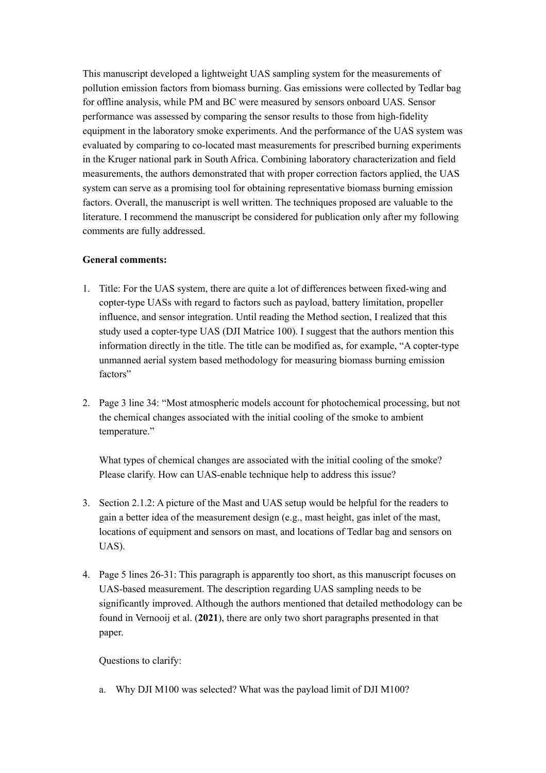This manuscript developed a lightweight UAS sampling system for the measurements of pollution emission factors from biomass burning. Gas emissions were collected by Tedlar bag for offline analysis, while PM and BC were measured by sensors onboard UAS. Sensor performance was assessed by comparing the sensor results to those from high-fidelity equipment in the laboratory smoke experiments. And the performance of the UAS system was evaluated by comparing to co-located mast measurements for prescribed burning experiments in the Kruger national park in South Africa. Combining laboratory characterization and field measurements, the authors demonstrated that with proper correction factors applied, the UAS system can serve as a promising tool for obtaining representative biomass burning emission factors. Overall, the manuscript is well written. The techniques proposed are valuable to the literature. I recommend the manuscript be considered for publication only after my following comments are fully addressed.

## **General comments:**

- 1. Title: For the UAS system, there are quite a lot of differences between fixed-wing and copter-type UASs with regard to factors such as payload, battery limitation, propeller influence, and sensor integration. Until reading the Method section, I realized that this study used a copter-type UAS (DJI Matrice 100). I suggest that the authors mention this information directly in the title. The title can be modified as, for example, "A copter-type unmanned aerial system based methodology for measuring biomass burning emission factors"
- 2. Page 3 line 34: "Most atmospheric models account for photochemical processing, but not the chemical changes associated with the initial cooling of the smoke to ambient temperature."

What types of chemical changes are associated with the initial cooling of the smoke? Please clarify. How can UAS-enable technique help to address this issue?

- 3. Section 2.1.2: A picture of the Mast and UAS setup would be helpful for the readers to gain a better idea of the measurement design (e.g., mast height, gas inlet of the mast, locations of equipment and sensors on mast, and locations of Tedlar bag and sensors on UAS).
- 4. Page 5 lines 26-31: This paragraph is apparently too short, as this manuscript focuses on UAS-based measurement. The description regarding UAS sampling needs to be significantly improved. Although the authors mentioned that detailed methodology can be found in Vernooij et al. (**2021**), there are only two short paragraphs presented in that paper.

Questions to clarify:

a. Why DJI M100 was selected? What was the payload limit of DJI M100?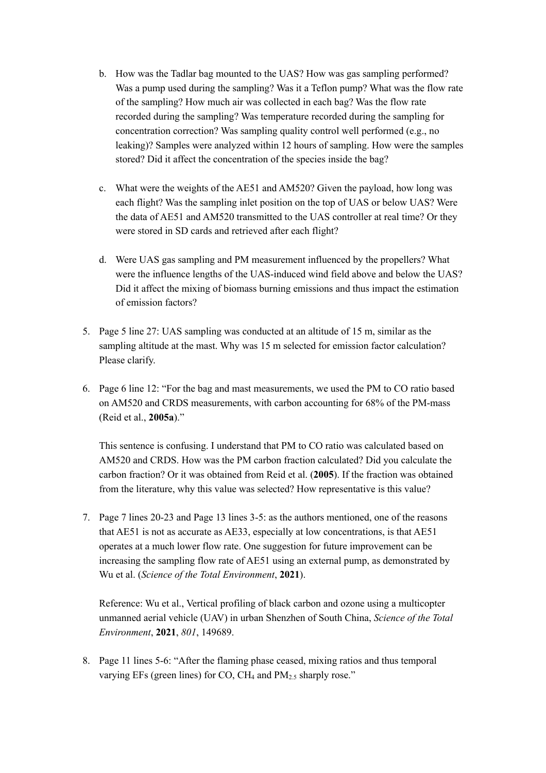- b. How was the Tadlar bag mounted to the UAS? How was gas sampling performed? Was a pump used during the sampling? Was it a Teflon pump? What was the flow rate of the sampling? How much air was collected in each bag? Was the flow rate recorded during the sampling? Was temperature recorded during the sampling for concentration correction? Was sampling quality control well performed (e.g., no leaking)? Samples were analyzed within 12 hours of sampling. How were the samples stored? Did it affect the concentration of the species inside the bag?
- c. What were the weights of the AE51 and AM520? Given the payload, how long was each flight? Was the sampling inlet position on the top of UAS or below UAS? Were the data of AE51 and AM520 transmitted to the UAS controller at real time? Or they were stored in SD cards and retrieved after each flight?
- d. Were UAS gas sampling and PM measurement influenced by the propellers? What were the influence lengths of the UAS-induced wind field above and below the UAS? Did it affect the mixing of biomass burning emissions and thus impact the estimation of emission factors?
- 5. Page 5 line 27: UAS sampling was conducted at an altitude of 15 m, similar as the sampling altitude at the mast. Why was 15 m selected for emission factor calculation? Please clarify.
- 6. Page 6 line 12: "For the bag and mast measurements, we used the PM to CO ratio based on AM520 and CRDS measurements, with carbon accounting for 68% of the PM-mass (Reid et al., **2005a**)."

This sentence is confusing. I understand that PM to CO ratio was calculated based on AM520 and CRDS. How was the PM carbon fraction calculated? Did you calculate the carbon fraction? Or it was obtained from Reid et al. (**2005**). If the fraction was obtained from the literature, why this value was selected? How representative is this value?

7. Page 7 lines 20-23 and Page 13 lines 3-5: as the authors mentioned, one of the reasons that AE51 is not as accurate as AE33, especially at low concentrations, is that AE51 operates at a much lower flow rate. One suggestion for future improvement can be increasing the sampling flow rate of AE51 using an external pump, as demonstrated by Wu et al. (*Science of the Total Environment*, **2021**).

Reference: Wu et al., Vertical profiling of black carbon and ozone using a multicopter unmanned aerial vehicle (UAV) in urban Shenzhen of South China, *Science of the Total Environment*, **2021**, *801*, 149689.

8. Page 11 lines 5-6: "After the flaming phase ceased, mixing ratios and thus temporal varying EFs (green lines) for CO, CH<sub>4</sub> and  $PM_{2.5}$  sharply rose."